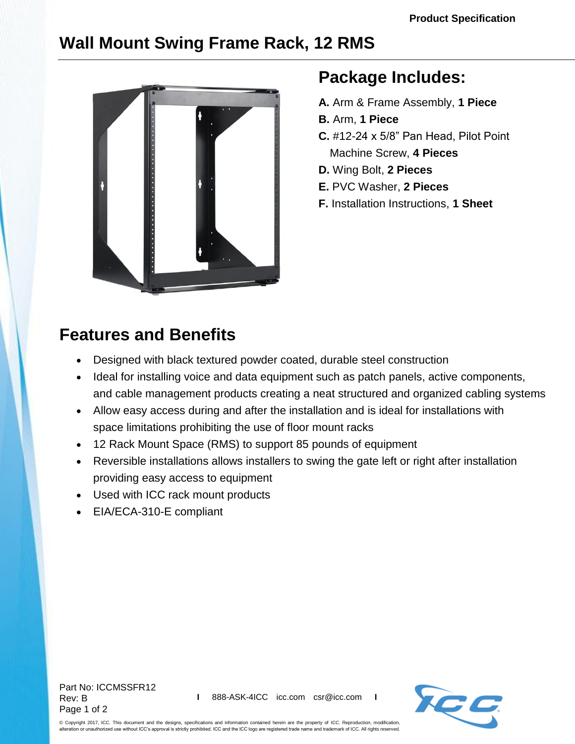## **Wall Mount Swing Frame Rack, 12 RMS**



## **Package Includes:**

- **A.** Arm & Frame Assembly, **1 Piece**
- **B.** Arm, **1 Piece**
- **C.** #12-24 x 5/8" Pan Head, Pilot Point Machine Screw, **4 Pieces**
- **D.** Wing Bolt, **2 Pieces**
- **E.** PVC Washer, **2 Pieces**
- **F.** Installation Instructions, **1 Sheet**

## **Features and Benefits**

- Designed with black textured powder coated, durable steel construction
- Ideal for installing voice and data equipment such as patch panels, active components, and cable management products creating a neat structured and organized cabling systems
- Allow easy access during and after the installation and is ideal for installations with space limitations prohibiting the use of floor mount racks
- 12 Rack Mount Space (RMS) to support 85 pounds of equipment
- Reversible installations allows installers to swing the gate left or right after installation providing easy access to equipment
- Used with ICC rack mount products
- EIA/ECA-310-E compliant

Part No: ICCMSSFR12 Rev: B Page 1 of 2



© Copyright 2017, ICC. This document and the designs, specifications and information contained herein are the property of ICC. Reproduction, modification, alteration or unauthorized use without ICC's approval is strictly prohibited. ICC and the ICC logo are registered trade name and trademark of ICC. All rights reserved.